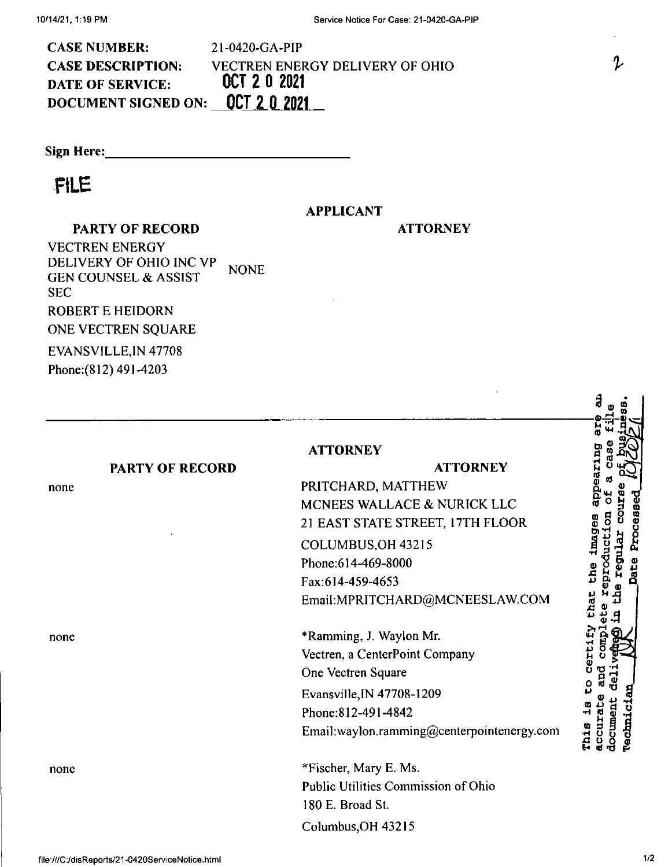| <b>CASE NUMBER:</b>              | 21-0420-GA-PIP                  |
|----------------------------------|---------------------------------|
| <b>CASE DESCRIPTION:</b>         | VECTREN ENERGY DELIVERY OF OHIO |
| DATE OF SERVICE:                 | OCT 2 0 2021                    |
| document signed on: 0CT 2 0 2021 |                                 |

**Sign Here:**

## **FILE**

none

none

none

## **APPLICANT**

**PARTY OF RECORD**

**NONE** EVANSVILLE,IN 47708 VECTREN ENERGY DELIVERY OF OHIO INC VP GEN COUNSEL & ASSIST SEC ROBERT E HEIDORN ONE VECTREN SQUARE

**PARTY OF RECORD**

Phone:(812) 491-4203

## **ATTORNEY**

## **ATTORNEY**

PRITCHARD, MATTHEW MCNEES WALLACE & NURICK LLC 21 EAST STATE STREET, I7TH FLOOR COLUMBUS,OH 43215 Phone:614-469-8000 Fax:614-459-4653 EmaiI:MPRITCHARD@MCNEESLAW.COM

**ATTORNEY**

\*Ramming, J. Wayion Mr. Vectren, a CenterPoint Company One Vectren Square Evansville,IN 47708-1209 Phone:812-491-4842 Email:wayion.ramming@centerpointenergy.com

Columbus,OH 43215 \*Fischer, Mary E. Ms. Public Utilities Commission of Ohio 180 E. Broad St.

**«° <sup>S</sup> « ■s g** ∃ 3 3 **-c h « Ot <sup>Q</sup> p ® £ <sup>P</sup> u -M q ■H B o** o <sup>p</sup> \*0 J bue **r 9** Φ **Pechnic:** a 3 g g<br>H C G g

Z